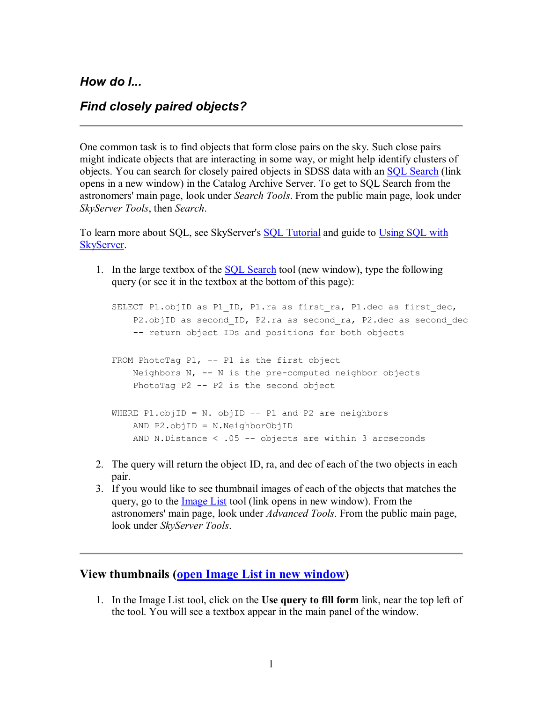*How do I...* 

## *Find closely paired objects?*

One common task is to find objects that form close pairs on the sky. Such close pairs might indicate objects that are interacting in some way, or might help identify clusters of objects. You can search for closely paired objects in SDSS data with an SQL Search (link opens in a new window) in the Catalog Archive Server. To get to SQL Search from the astronomers' main page, look under *Search Tools*. From the public main page, look under *SkyServer Tools*, then *Search*.

To learn more about SQL, see SkyServer's SQL Tutorial and guide to Using SQL with SkyServer.

1. In the large textbox of the SQL Search tool (new window), type the following query (or see it in the textbox at the bottom of this page):

SELECT P1.objID as P1 ID, P1.ra as first ra, P1.dec as first dec, P2.objID as second ID, P2.ra as second ra, P2.dec as second dec -- return object IDs and positions for both objects FROM PhotoTag P1,  $-$  P1 is the first object Neighbors N,  $-$ - N is the pre-computed neighbor objects PhotoTag  $P2$  --  $P2$  is the second object WHERE P1.objID = N. objID -- P1 and P2 are neighbors AND P2.objID = N.NeighborObjID AND N.Distance  $\langle .05 -- 00 \rangle$  objects are within 3 arcseconds

- 2. The query will return the object ID, ra, and dec of each of the two objects in each pair.
- 3. If you would like to see thumbnail images of each of the objects that matches the query, go to the Image List tool (link opens in new window). From the astronomers' main page, look under *Advanced Tools*. From the public main page, look under *SkyServer Tools*.

## **View thumbnails (open Image List in new window)**

1. In the Image List tool, click on the **Use query to fill form** link, near the top left of the tool. You will see a textbox appear in the main panel of the window.